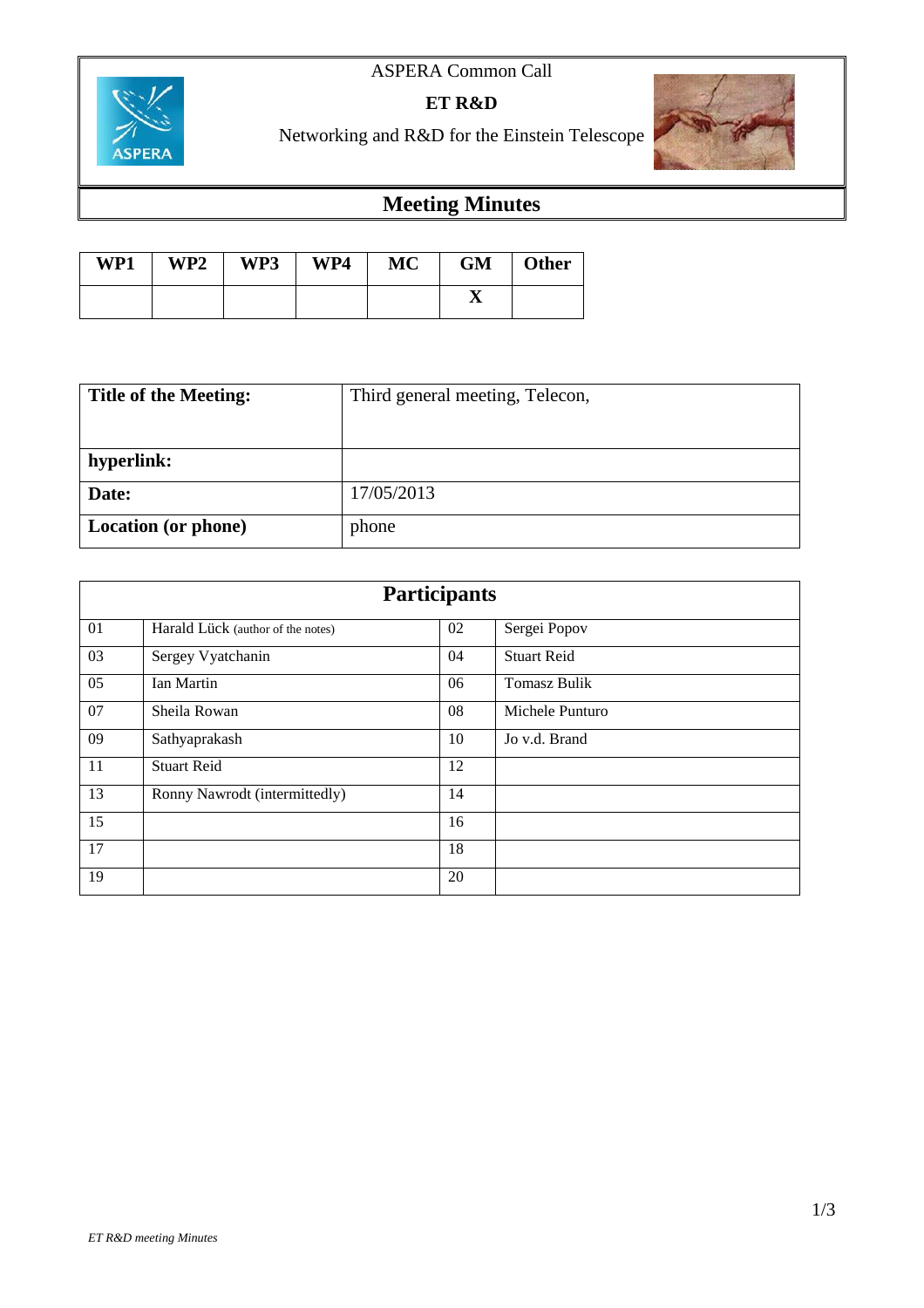## ASPERA Common Call



**ET R&D**

Networking and R&D for the Einstein Telescope



# **Meeting Minutes**

| WP1 | WP2 | WP3 | WP4 | <b>MC</b> | <b>GM</b> | <b>Other</b> |
|-----|-----|-----|-----|-----------|-----------|--------------|
|     |     |     |     |           |           |              |

| <b>Title of the Meeting:</b> | Third general meeting, Telecon, |  |  |
|------------------------------|---------------------------------|--|--|
|                              |                                 |  |  |
| hyperlink:                   |                                 |  |  |
| Date:                        | 17/05/2013                      |  |  |
| <b>Location</b> (or phone)   | phone                           |  |  |

| <b>Participants</b> |                                   |    |                     |  |  |
|---------------------|-----------------------------------|----|---------------------|--|--|
| 01                  | Harald Lück (author of the notes) | 02 | Sergei Popov        |  |  |
| 03                  | Sergey Vyatchanin                 | 04 | <b>Stuart Reid</b>  |  |  |
| 05                  | Ian Martin                        | 06 | <b>Tomasz Bulik</b> |  |  |
| 07                  | Sheila Rowan                      | 08 | Michele Punturo     |  |  |
| 09                  | Sathyaprakash                     | 10 | Jo v.d. Brand       |  |  |
| 11                  | <b>Stuart Reid</b>                | 12 |                     |  |  |
| 13                  | Ronny Nawrodt (intermittedly)     | 14 |                     |  |  |
| 15                  |                                   | 16 |                     |  |  |
| 17                  |                                   | 18 |                     |  |  |
| 19                  |                                   | 20 |                     |  |  |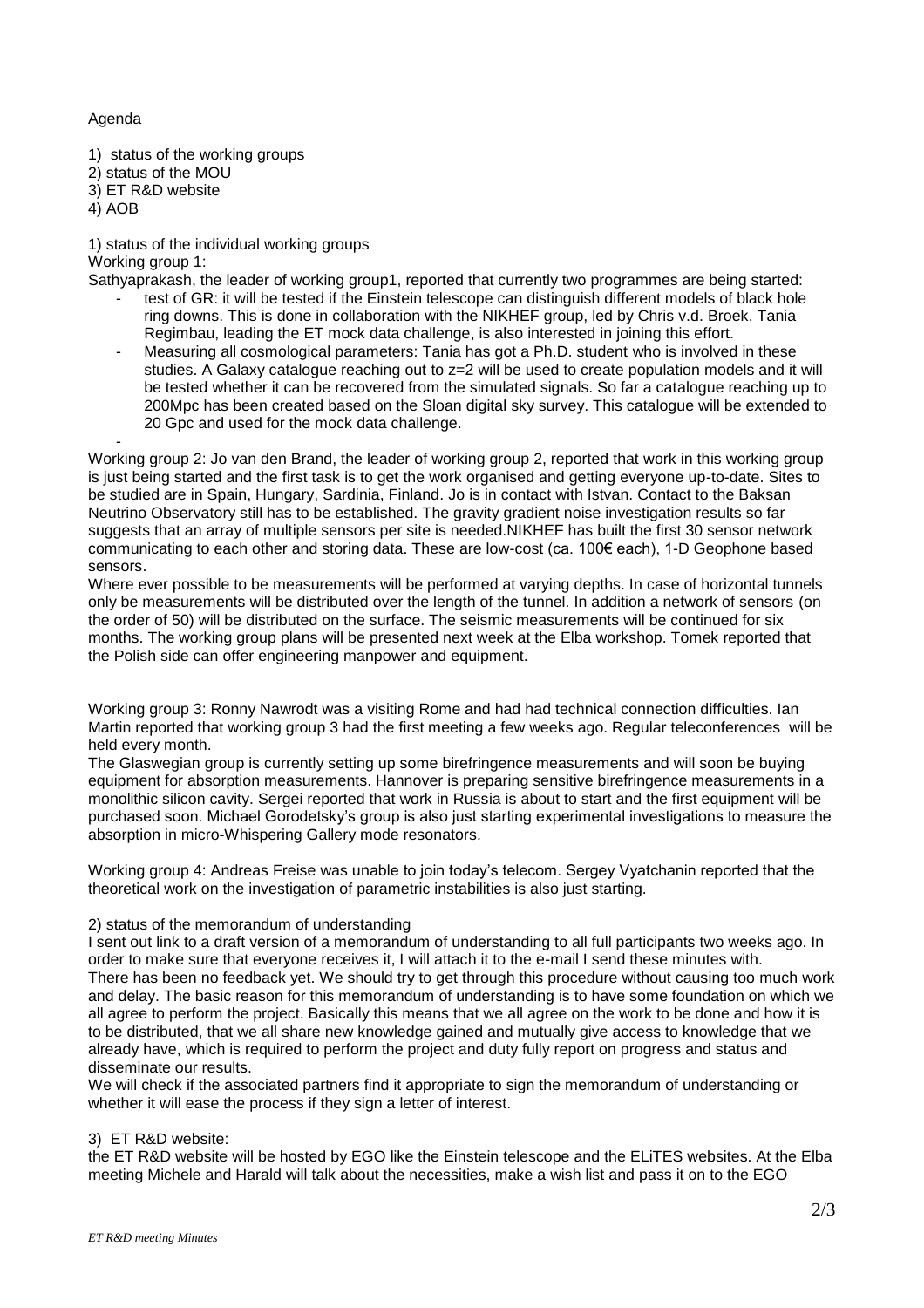#### Agenda

- 1) status of the working groups
- 2) status of the MOU
- 3) ET R&D website
- 4) AOB

1) status of the individual working groups

Working group 1:

- Sathyaprakash, the leader of working group1, reported that currently two programmes are being started: test of GR: it will be tested if the Einstein telescope can distinguish different models of black hole ring downs. This is done in collaboration with the NIKHEF group, led by Chris v.d. Broek. Tania Regimbau, leading the ET mock data challenge, is also interested in joining this effort.
	- Measuring all cosmological parameters: Tania has got a Ph.D. student who is involved in these studies. A Galaxy catalogue reaching out to z=2 will be used to create population models and it will be tested whether it can be recovered from the simulated signals. So far a catalogue reaching up to 200Mpc has been created based on the Sloan digital sky survey. This catalogue will be extended to 20 Gpc and used for the mock data challenge.

- Working group 2: Jo van den Brand, the leader of working group 2, reported that work in this working group is just being started and the first task is to get the work organised and getting everyone up-to-date. Sites to be studied are in Spain, Hungary, Sardinia, Finland. Jo is in contact with Istvan. Contact to the Baksan Neutrino Observatory still has to be established. The gravity gradient noise investigation results so far suggests that an array of multiple sensors per site is needed.NIKHEF has built the first 30 sensor network communicating to each other and storing data. These are low-cost (ca. 100€ each), 1-D Geophone based sensors.

Where ever possible to be measurements will be performed at varying depths. In case of horizontal tunnels only be measurements will be distributed over the length of the tunnel. In addition a network of sensors (on the order of 50) will be distributed on the surface. The seismic measurements will be continued for six months. The working group plans will be presented next week at the Elba workshop. Tomek reported that the Polish side can offer engineering manpower and equipment.

Working group 3: Ronny Nawrodt was a visiting Rome and had had technical connection difficulties. Ian Martin reported that working group 3 had the first meeting a few weeks ago. Regular teleconferences will be held every month.

The Glaswegian group is currently setting up some birefringence measurements and will soon be buying equipment for absorption measurements. Hannover is preparing sensitive birefringence measurements in a monolithic silicon cavity. Sergei reported that work in Russia is about to start and the first equipment will be purchased soon. Michael Gorodetsky's group is also just starting experimental investigations to measure the absorption in micro-Whispering Gallery mode resonators.

Working group 4: Andreas Freise was unable to join today's telecom. Sergey Vyatchanin reported that the theoretical work on the investigation of parametric instabilities is also just starting.

### 2) status of the memorandum of understanding

I sent out link to a draft version of a memorandum of understanding to all full participants two weeks ago. In order to make sure that everyone receives it, I will attach it to the e-mail I send these minutes with. There has been no feedback yet. We should try to get through this procedure without causing too much work and delay. The basic reason for this memorandum of understanding is to have some foundation on which we all agree to perform the project. Basically this means that we all agree on the work to be done and how it is to be distributed, that we all share new knowledge gained and mutually give access to knowledge that we already have, which is required to perform the project and duty fully report on progress and status and disseminate our results.

We will check if the associated partners find it appropriate to sign the memorandum of understanding or whether it will ease the process if they sign a letter of interest.

#### 3) ET R&D website:

the ET R&D website will be hosted by EGO like the Einstein telescope and the ELiTES websites. At the Elba meeting Michele and Harald will talk about the necessities, make a wish list and pass it on to the EGO